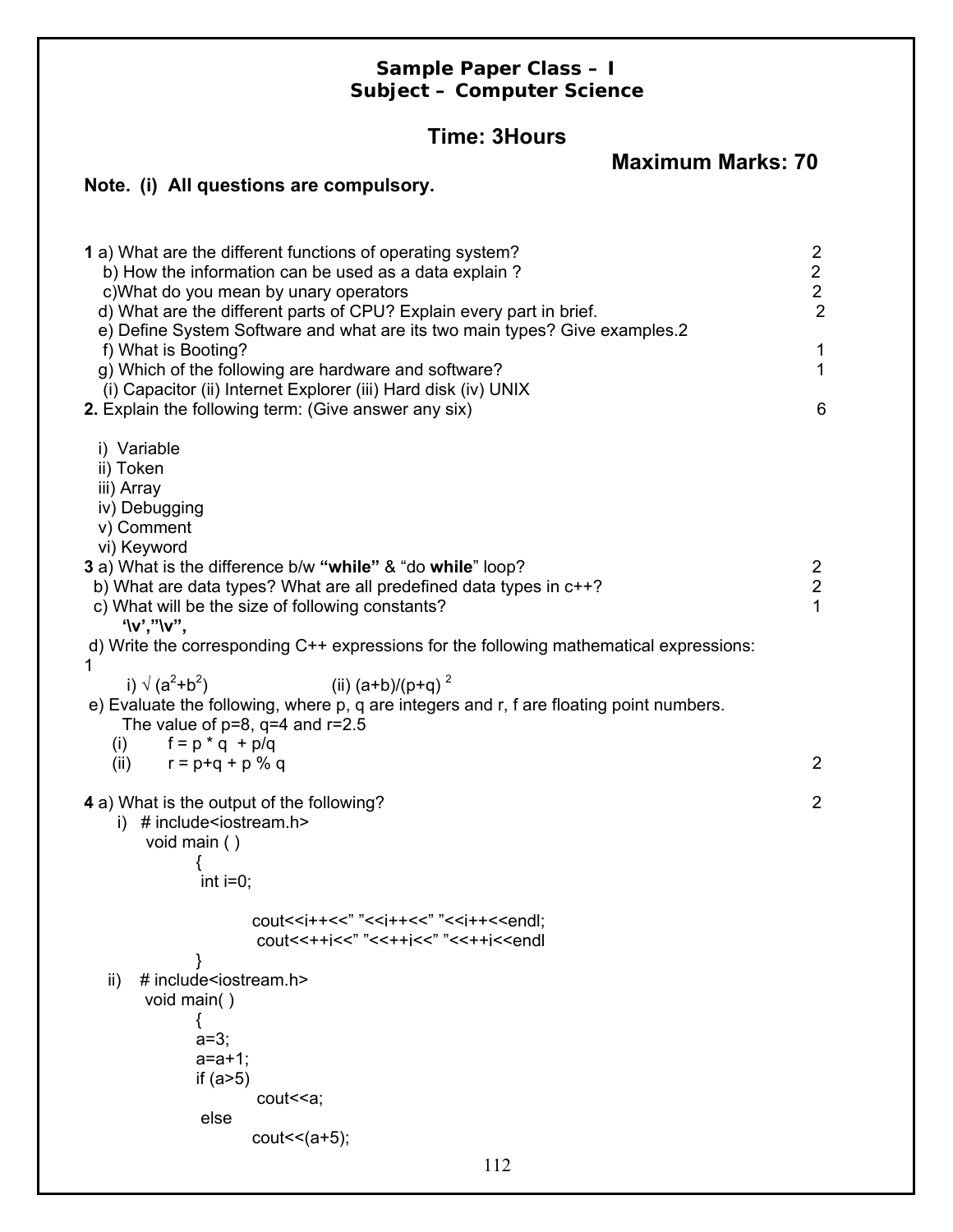# **Sample Paper Class – I Subject – Computer Science**

# **Time: 3Hours**

**Maximum Marks: 70**

# **Note. (i) All questions are compulsory.**

| 1 a) What are the different functions of operating system?<br>b) How the information can be used as a data explain?<br>c) What do you mean by unary operators<br>d) What are the different parts of CPU? Explain every part in brief.<br>e) Define System Software and what are its two main types? Give examples.2<br>f) What is Booting?<br>g) Which of the following are hardware and software?<br>(i) Capacitor (ii) Internet Explorer (iii) Hard disk (iv) UNIX<br>2. Explain the following term: (Give answer any six) | $\overline{2}$<br>$\overline{2}$<br>$\overline{2}$<br>$\overline{2}$<br>1<br>1<br>6 |
|------------------------------------------------------------------------------------------------------------------------------------------------------------------------------------------------------------------------------------------------------------------------------------------------------------------------------------------------------------------------------------------------------------------------------------------------------------------------------------------------------------------------------|-------------------------------------------------------------------------------------|
|                                                                                                                                                                                                                                                                                                                                                                                                                                                                                                                              |                                                                                     |
| i) Variable<br>ii) Token<br>iii) Array<br>iv) Debugging<br>v) Comment                                                                                                                                                                                                                                                                                                                                                                                                                                                        |                                                                                     |
| vi) Keyword<br>3 a) What is the difference b/w "while" & "do while" loop?                                                                                                                                                                                                                                                                                                                                                                                                                                                    |                                                                                     |
| b) What are data types? What are all predefined data types in c++?                                                                                                                                                                                                                                                                                                                                                                                                                                                           | $\frac{2}{2}$                                                                       |
| c) What will be the size of following constants?                                                                                                                                                                                                                                                                                                                                                                                                                                                                             | 1                                                                                   |
| $' \vee','' \vee'',$<br>d) Write the corresponding C++ expressions for the following mathematical expressions:                                                                                                                                                                                                                                                                                                                                                                                                               |                                                                                     |
| 1<br>(ii) $(a+b)/(p+q)^2$<br>i) $\sqrt{(a^2+b^2)}$                                                                                                                                                                                                                                                                                                                                                                                                                                                                           |                                                                                     |
| e) Evaluate the following, where p, q are integers and r, f are floating point numbers.<br>The value of $p=8$ , $q=4$ and $r=2.5$                                                                                                                                                                                                                                                                                                                                                                                            |                                                                                     |
| $f = p * q + p/q$<br>(i)                                                                                                                                                                                                                                                                                                                                                                                                                                                                                                     |                                                                                     |
| (ii) $r = p + q + p$ % q                                                                                                                                                                                                                                                                                                                                                                                                                                                                                                     | 2                                                                                   |
| 4 a) What is the output of the following?                                                                                                                                                                                                                                                                                                                                                                                                                                                                                    | $\overline{2}$                                                                      |
| # include <iostream.h><br/>i)</iostream.h>                                                                                                                                                                                                                                                                                                                                                                                                                                                                                   |                                                                                     |
| void main ()                                                                                                                                                                                                                                                                                                                                                                                                                                                                                                                 |                                                                                     |
| int $i=0$ ;                                                                                                                                                                                                                                                                                                                                                                                                                                                                                                                  |                                                                                     |
| cout< <i++<<" "<<i++<<"="" "<<i++<<endl:<="" td=""><td></td></i++<<">                                                                                                                                                                                                                                                                                                                                                                                                                                                        |                                                                                     |
| cout<<++j<<" "<<++j<<" "<<++j< <endl< td=""><td></td></endl<>                                                                                                                                                                                                                                                                                                                                                                                                                                                                |                                                                                     |
|                                                                                                                                                                                                                                                                                                                                                                                                                                                                                                                              |                                                                                     |
| # include <iostream.h><br/>ii)<br/>void main()</iostream.h>                                                                                                                                                                                                                                                                                                                                                                                                                                                                  |                                                                                     |
|                                                                                                                                                                                                                                                                                                                                                                                                                                                                                                                              |                                                                                     |
| $a=3;$                                                                                                                                                                                                                                                                                                                                                                                                                                                                                                                       |                                                                                     |
| $a = a + 1$ ;                                                                                                                                                                                                                                                                                                                                                                                                                                                                                                                |                                                                                     |
| if $(a>5)$                                                                                                                                                                                                                                                                                                                                                                                                                                                                                                                   |                                                                                     |
| cout << a;<br>else                                                                                                                                                                                                                                                                                                                                                                                                                                                                                                           |                                                                                     |
| cout $<(a+5);$                                                                                                                                                                                                                                                                                                                                                                                                                                                                                                               |                                                                                     |
| 112                                                                                                                                                                                                                                                                                                                                                                                                                                                                                                                          |                                                                                     |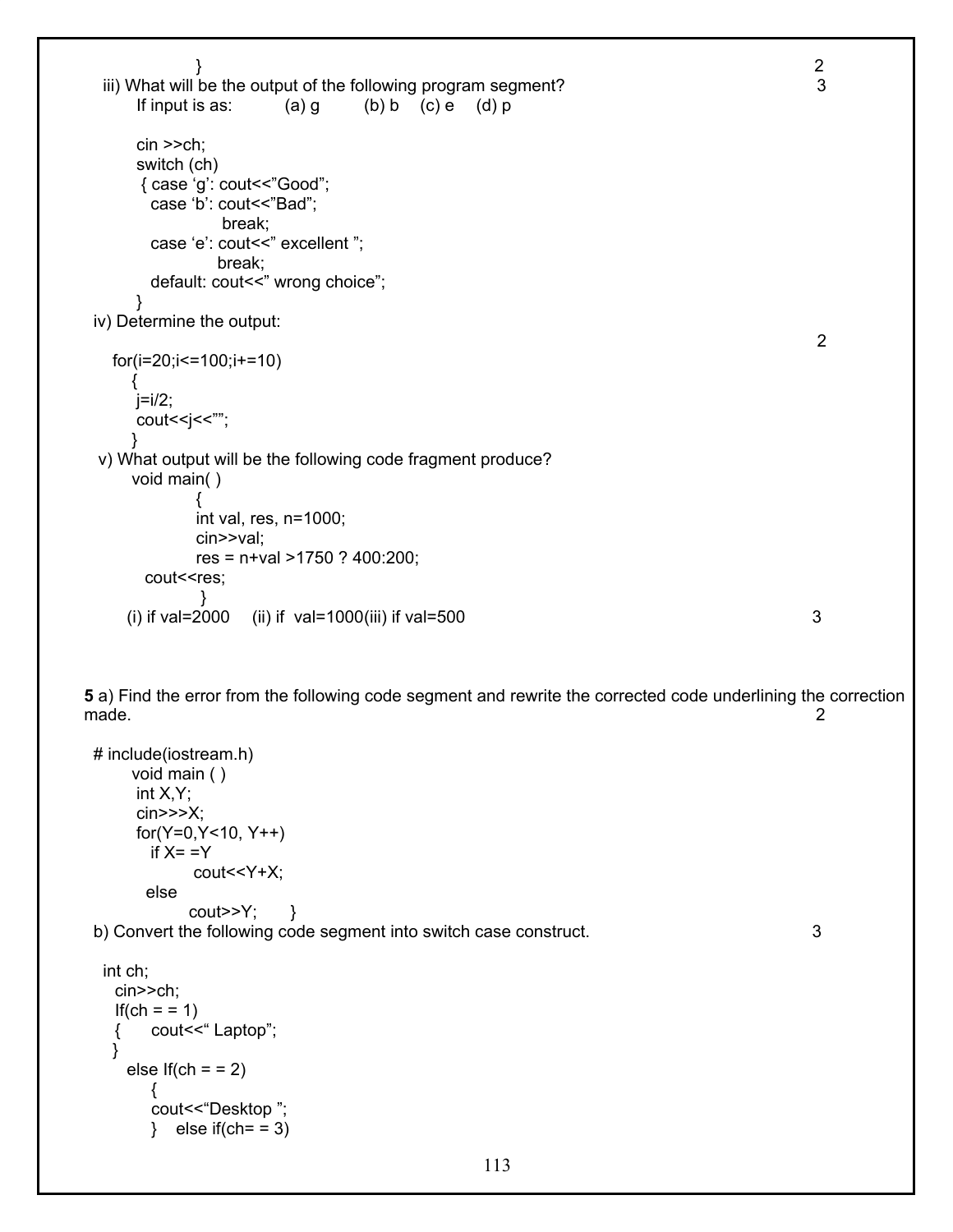```
} 2 
 iii) What will be the output of the following program segment? 3
     If input is as: (a) q (b) b (c) e (d) p
      cin >>ch; 
      switch (ch) 
      { case 'g': cout<<"Good"; 
       case 'b': cout<<"Bad"; 
               break; 
      case 'e': cout << " excellent ";
              break; 
      default: cout << " wrong choice";
      } 
 iv) Determine the output: 
 2 
   for(i=20;i<=100;i+=10) 
\left\{\begin{array}{ccc} \end{array}\right\}j=i/2;cout<<i<<"";
 } 
  v) What output will be the following code fragment produce? 
     void main( ) 
\{ int val, res, n=1000; 
            cin>>val; 
            res = n+val >1750 ? 400:200; 
      cout<<res;
 } 
    (i) if val=2000 (ii) if val=1000(iii) if val=500 \frac{3}{2}5 a) Find the error from the following code segment and rewrite the corrected code underlining the correction 
made. 2
 # include(iostream.h) 
     void main ( ) 
      int X,Y; 
      cin>>>X; 
      for(Y=0,Y<10, Y++) 
      if X = Y cout<<Y+X; 
       else 
          \text{cout}>>Y; }
 b) Convert the following code segment into switch case construct. 3 
  int ch; 
    cin>>ch; 
   If(ch = = 1)
    { cout<<" Laptop";
```

```
 } 
  else If(ch = 2) { 
      cout<<"Desktop "; 
     \} else if(ch = = 3)
```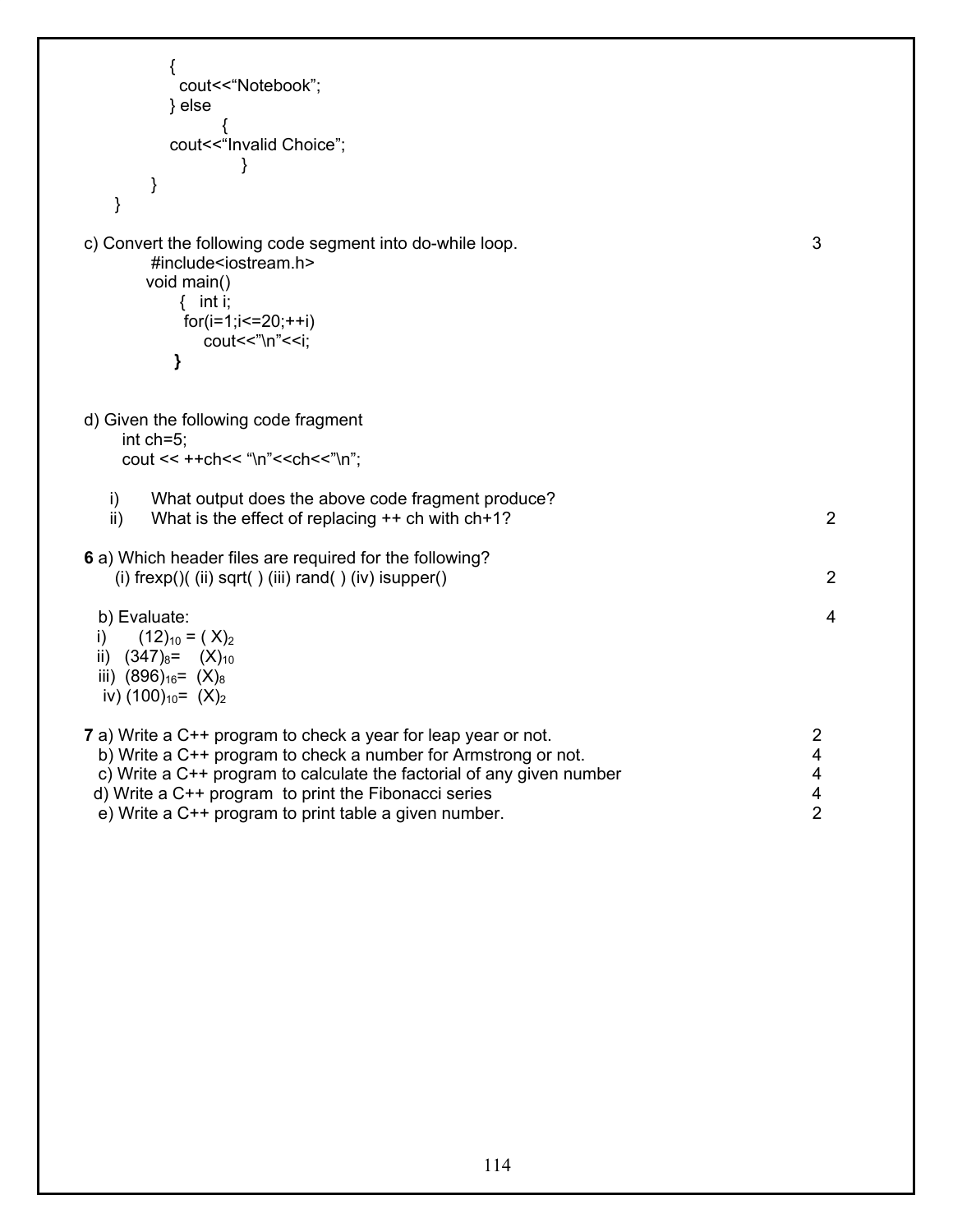| {<br>cout<<"Notebook";<br>$\}$ else<br>cout<<"Invalid Choice";<br>}<br>}                                                                                                                                                                                                                                                   |                                    |
|----------------------------------------------------------------------------------------------------------------------------------------------------------------------------------------------------------------------------------------------------------------------------------------------------------------------------|------------------------------------|
| c) Convert the following code segment into do-while loop.<br>#include <iostream.h><br/>void main()<br/>{ <math>int i;</math><br/><math>for(i=1;i=20;++i)</math><br/>cout&lt;&lt;"\n"&lt;<i;<br>}</i;<br></iostream.h>                                                                                                      | 3                                  |
| d) Given the following code fragment<br>int ch=5:<br>cout << ++ch<< "\n"< <ch<<"\n":< td=""><td></td></ch<<"\n":<>                                                                                                                                                                                                         |                                    |
| i)<br>What output does the above code fragment produce?<br>What is the effect of replacing $++$ ch with $\text{ch+1?}$<br>ii)                                                                                                                                                                                              | 2                                  |
| 6 a) Which header files are required for the following?<br>(i) $frexp()$ (ii) sqrt() (iii) rand() (iv) isupper()                                                                                                                                                                                                           | $\overline{2}$                     |
| b) Evaluate:<br>$(12)_{10} = (X)_2$<br>$\left  \cdot \right $<br>ii) $(347)_{8}$ = $(X)_{10}$<br>iii) $(896)_{16}$ = $(X)_{8}$<br>iv) $(100)_{10}$ = $(X)_2$                                                                                                                                                               | $\overline{4}$                     |
| 7 a) Write a C++ program to check a year for leap year or not.<br>b) Write a C++ program to check a number for Armstrong or not.<br>c) Write a C++ program to calculate the factorial of any given number<br>d) Write a C++ program to print the Fibonacci series<br>e) Write a C++ program to print table a given number. | 2<br>4<br>4<br>4<br>$\overline{2}$ |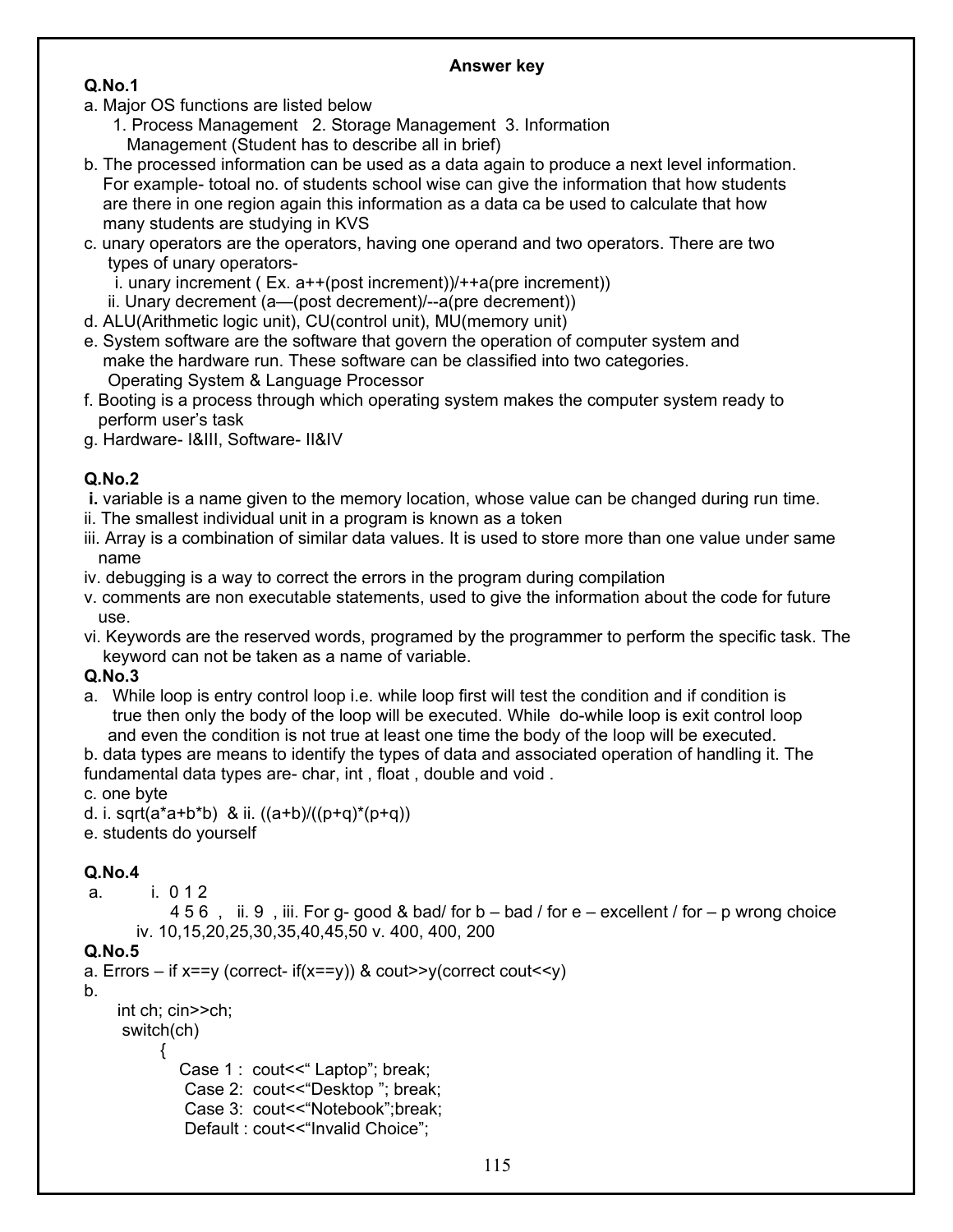#### **Answer key**

#### **Q.No.1**

- a. Major OS functions are listed below
	- 1. Process Management 2. Storage Management 3. Information Management (Student has to describe all in brief)
- b. The processed information can be used as a data again to produce a next level information. For example- totoal no. of students school wise can give the information that how students are there in one region again this information as a data ca be used to calculate that how many students are studying in KVS
- c. unary operators are the operators, having one operand and two operators. There are two types of unary operators
	- i. unary increment (  $Ex. a++(post increment)$ )/++a(pre increment))
	- ii. Unary decrement (a—(post decrement)/--a(pre decrement))
- d. ALU(Arithmetic logic unit), CU(control unit), MU(memory unit)
- e. System software are the software that govern the operation of computer system and make the hardware run. These software can be classified into two categories. Operating System & Language Processor
- f. Booting is a process through which operating system makes the computer system ready to perform user's task
- g. Hardware- I&III, Software- II&IV

### **Q.No.2**

- **i.** variable is a name given to the memory location, whose value can be changed during run time.
- ii. The smallest individual unit in a program is known as a token
- iii. Array is a combination of similar data values. It is used to store more than one value under same name
- iv. debugging is a way to correct the errors in the program during compilation
- v. comments are non executable statements, used to give the information about the code for future use.
- vi. Keywords are the reserved words, programed by the programmer to perform the specific task. The keyword can not be taken as a name of variable.

### **Q.No.3**

a. While loop is entry control loop i.e. while loop first will test the condition and if condition is true then only the body of the loop will be executed. While do-while loop is exit control loop and even the condition is not true at least one time the body of the loop will be executed.

b. data types are means to identify the types of data and associated operation of handling it. The fundamental data types are- char, int , float , double and void .

### c. one byte

- d. i. sqrt( $a^*a+b^*b$ ) & ii.  $((a+b)/((p+q)^*(p+q))$
- e. students do yourself

## **Q.No.4**

a. i. 0 1 2

```
 4 5 6 , ii. 9 , iii. For g- good & bad/ for b – bad / for e – excellent / for – p wrong choice 
 iv. 10,15,20,25,30,35,40,45,50 v. 400, 400, 200
```
### **Q.No.5**

```
a. Errors – if x = v (correct- if (x == v)) & cout>>v(correct cout<<v)
b. 
     int ch; cin>>ch; 
      switch(ch) 
           { 
             Case 1 : cout << " Laptop"; break;
               Case 2: cout<<"Desktop "; break; 
               Case 3: cout<<"Notebook";break; 
              Default: cout<<"Invalid Choice":
```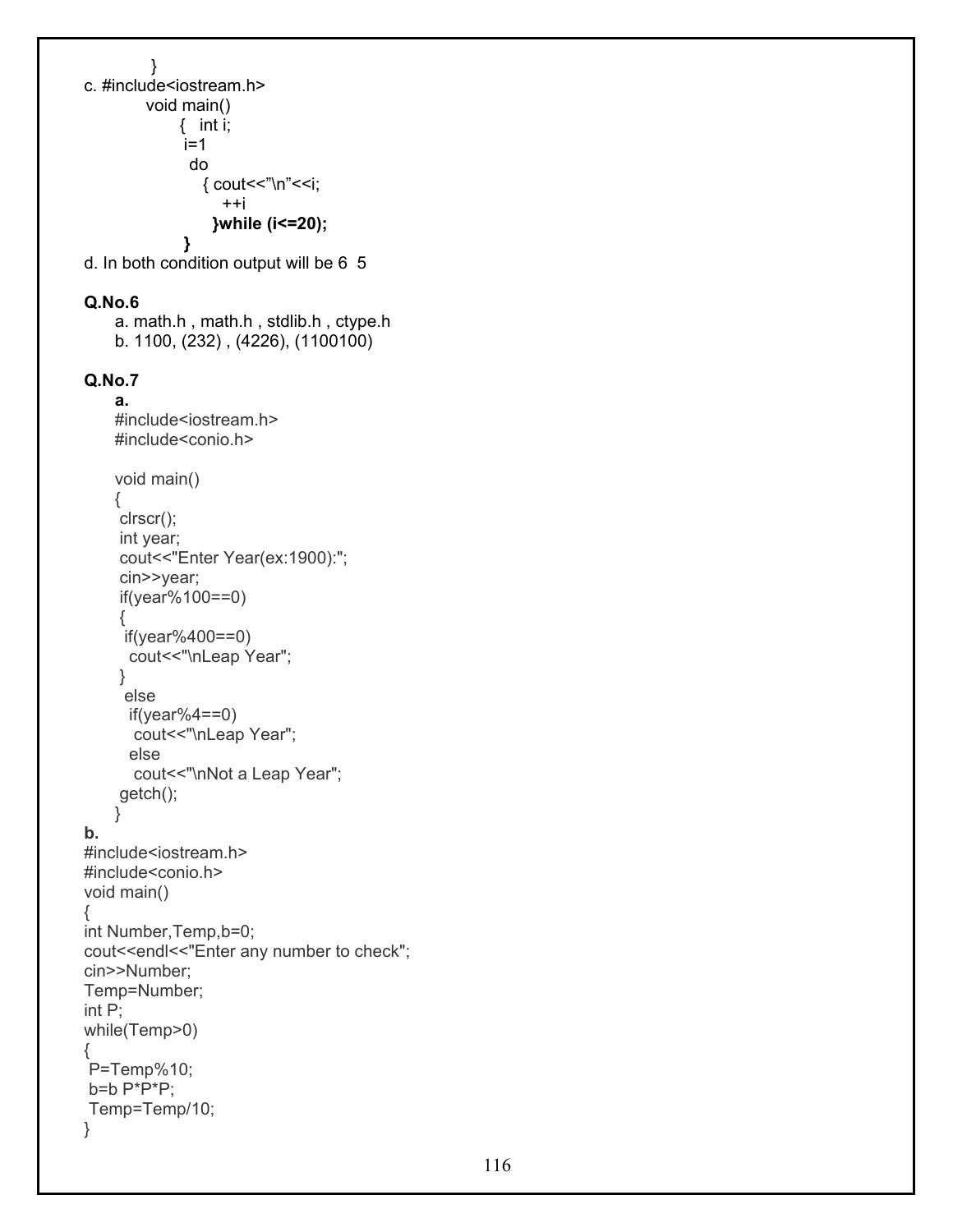```
 } 
c. #include<iostream.h> 
         void main() 
              { int i; 
             i=1 do 
                 { cout<<"\n"<<i; 
                    ++i 
                  }while (i<=20); 
 }
d. In both condition output will be 6 5
```
#### **Q.No.6**

```
 a. math.h , math.h , stdlib.h , ctype.h 
 b. 1100, (232) , (4226), (1100100)
```
#### **Q.No.7 a.**

```
#include<iostream.h> 
    #include<conio.h> 
    void main() 
    { 
     clrscr(); 
     int year; 
     cout<<"Enter Year(ex:1900):"; 
      cin>>year; 
     if(year%100==0) 
      { 
      if(year%400==0) 
      cout<<"\nLeap Year"; 
     } 
      else 
      if(year%4==0)cout<<"\nLeap Year";
       else 
       cout<<"\nNot a Leap Year"; 
     getch(); 
    } 
b. 
#include<iostream.h> 
#include<conio.h> 
void main() 
{ 
int Number,Temp,b=0; 
cout<<endl<<"Enter any number to check";
cin>>Number; 
Temp=Number; 
int P; 
while(Temp>0) 
{ 
 P=Temp%10; 
b=b P^*P^*P;
 Temp=Temp/10; 
}
```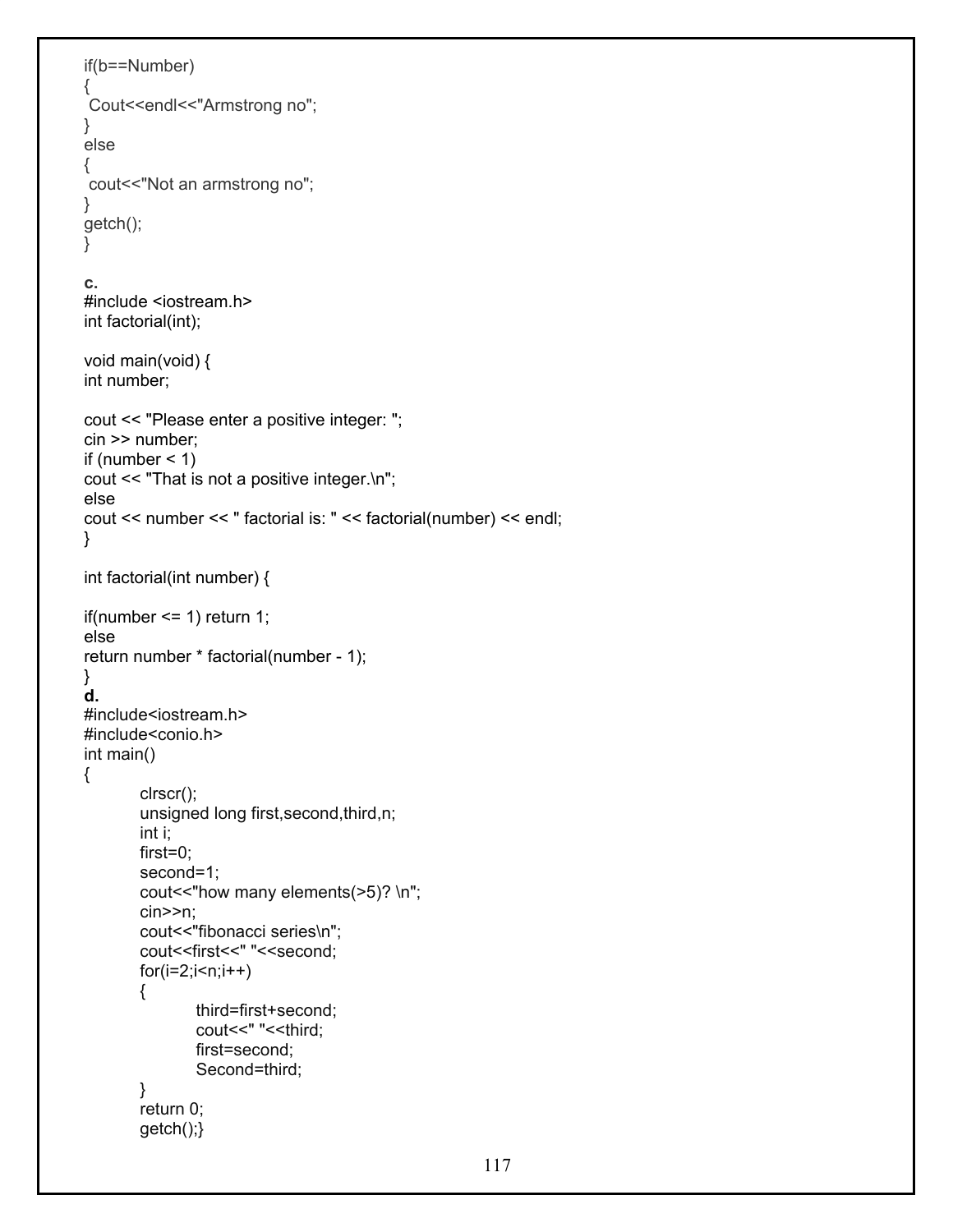```
if(b==Number) 
{ 
Cout<<endl<<"Armstrong no";
} 
else 
{ 
 cout<<"Not an armstrong no"; 
} 
getch(); 
} 
c. 
#include <iostream.h> 
int factorial(int); 
void main(void) { 
int number; 
cout << "Please enter a positive integer: "; 
cin >> number; 
if (number \leq 1)
cout << "That is not a positive integer.\n"; 
else 
cout << number << " factorial is: " << factorial(number) << endl; 
} 
int factorial(int number) { 
if(number \leq 1) return 1;
else 
return number * factorial(number - 1); 
} 
d. 
#include<iostream.h> 
#include<conio.h> 
int main() 
{ 
        clrscr(); 
        unsigned long first,second,third,n; 
        int i; 
        first=0; 
        second=1; 
        cout << "how many elements(>5)? \n";
        cin>>n; 
        cout<<"fibonacci series\n"; 
        cout<<first<<" "<<second; 
        for(i=2;i=n;i++){ 
                third=first+second; 
                cout << " " << third:
                first=second; 
                Second=third; 
        } 
        return 0; 
        getch();}
```